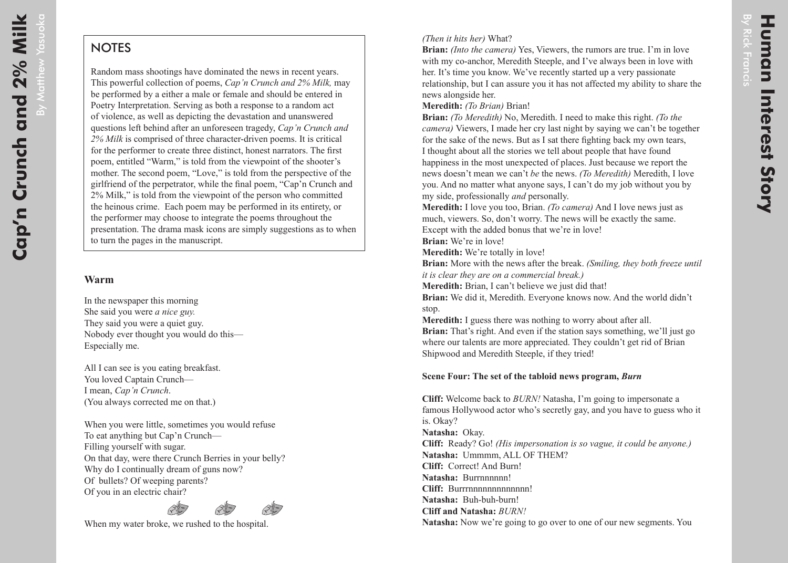By Matthew

By Matthew Yasuoka

## **NOTES**

Random mass shootings have dominated the news in recent years. This powerful collection of poems, *Cap'n Crunch and 2% Milk,* may be performed by a either a male or female and should be entered in Poetry Interpretation. Serving as both a response to a random act of violence, as well as depicting the devastation and unanswered questions left behind after an unforeseen tragedy, *Cap'n Crunch and 2% Milk* is comprised of three character-driven poems. It is critical for the performer to create three distinct, honest narrators. The first poem, entitled "Warm," is told from the viewpoint of the shooter's mother. The second poem, "Love," is told from the perspective of the girlfriend of the perpetrator, while the final poem, "Cap'n Crunch and 2% Milk," is told from the viewpoint of the person who committed the heinous crime. Each poem may be performed in its entirety, or the performer may choose to integrate the poems throughout the presentation. The drama mask icons are simply suggestions as to when to turn the pages in the manuscript.

## **Warm**

In the newspaper this morning She said you were *a nice guy.* They said you were a quiet guy. Nobody ever thought you would do this— Especially me.

All I can see is you eating breakfast. You loved Captain Crunch— I mean, *Cap'n Crunch*. (You always corrected me on that.)

When you were little, sometimes you would refuse To eat anything but Cap'n Crunch— Filling yourself with sugar. On that day, were there Crunch Berries in your belly? Why do I continually dream of guns now? Of bullets? Of weeping parents? Of you in an electric chair?



When my water broke, we rushed to the hospital.